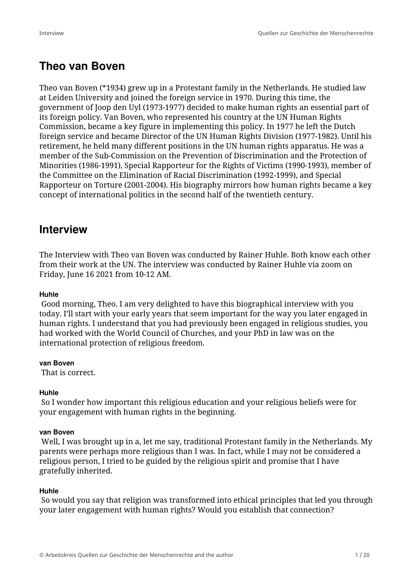## **Theo van Boven**

Theo van Boven (\*1934) grew up in a Protestant family in the Netherlands. He studied law at Leiden University and joined the foreign service in 1970. During this time, the government of Joop den Uyl (1973-1977) decided to make human rights an essential part of its foreign policy. Van Boven, who represented his country at the UN Human Rights Commission, became a key figure in implementing this policy. In 1977 he left the Dutch foreign service and became Director of the UN Human Rights Division (1977-1982). Until his retirement, he held many different positions in the UN human rights apparatus. He was a member of the Sub-Commission on the Prevention of Discrimination and the Protection of Minorities (1986-1991), Special Rapporteur for the Rights of Victims (1990-1993), member of the Committee on the Elimination of Racial Discrimination (1992-1999), and Special Rapporteur on Torture (2001-2004). His biography mirrors how human rights became a key concept of international politics in the second half of the twentieth century.

## **Interview**

The Interview with Theo van Boven was conducted by Rainer Huhle. Both know each other from their work at the UN. The interview was conducted by Rainer Huhle via zoom on Friday, June 16 2021 from 10-12 AM.

## **Huhle**

 Good morning, Theo. I am very delighted to have this biographical interview with you today. I'll start with your early years that seem important for the way you later engaged in human rights. I understand that you had previously been engaged in religious studies, you had worked with the World Council of Churches, and your PhD in law was on the international protection of religious freedom.

## **van Boven**

That is correct.

## **Huhle**

 So I wonder how important this religious education and your religious beliefs were for your engagement with human rights in the beginning.

## **van Boven**

 Well, I was brought up in a, let me say, traditional Protestant family in the Netherlands. My parents were perhaps more religious than I was. In fact, while I may not be considered a religious person, I tried to be guided by the religious spirit and promise that I have gratefully inherited.

#### **Huhle**

 So would you say that religion was transformed into ethical principles that led you through your later engagement with human rights? Would you establish that connection?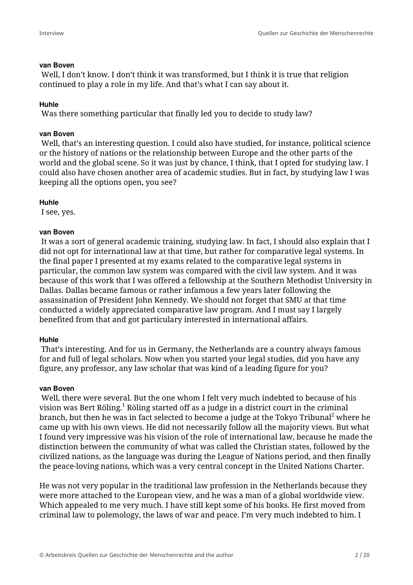#### **van Boven**

 Well, I don't know. I don't think it was transformed, but I think it is true that religion continued to play a role in my life. And that's what I can say about it.

#### **Huhle**

Was there something particular that finally led you to decide to study law?

#### **van Boven**

 Well, that's an interesting question. I could also have studied, for instance, political science or the history of nations or the relationship between Europe and the other parts of the world and the global scene. So it was just by chance, I think, that I opted for studying law. I could also have chosen another area of academic studies. But in fact, by studying law I was keeping all the options open, you see?

## **Huhle**

I see, yes.

#### **van Boven**

 It was a sort of general academic training, studying law. In fact, I should also explain that I did not opt for international law at that time, but rather for comparative legal systems. In the final paper I presented at my exams related to the comparative legal systems in particular, the common law system was compared with the civil law system. And it was because of this work that I was offered a fellowship at the Southern Methodist University in Dallas. Dallas became famous or rather infamous a few years later following the assassination of President John Kennedy. We should not forget that SMU at that time conducted a widely appreciated comparative law program. And I must say I largely benefited from that and got particulary interested in international affairs.

## **Huhle**

 That's interesting. And for us in Germany, the Netherlands are a country always famous for and full of legal scholars. Now when you started your legal studies, did you have any figure, any professor, any law scholar that was kind of a leading figure for you?

#### **van Boven**

 Well, there were several. But the one whom I felt very much indebted to because of his vision was Bert Röling.<sup>1</sup> Röling started off as a judge in a district court in the criminal branch, but then he was in fact selected to become a judge at the Tokyo Tribunal $^2$  where he came up with his own views. He did not necessarily follow all the majority views. But what I found very impressive was his vision of the role of international law, because he made the distinction between the community of what was called the Christian states, followed by the civilized nations, as the language was during the League of Nations period, and then finally the peace-loving nations, which was a very central concept in the United Nations Charter.

He was not very popular in the traditional law profession in the Netherlands because they were more attached to the European view, and he was a man of a global worldwide view. Which appealed to me very much. I have still kept some of his books. He first moved from criminal law to polemology, the laws of war and peace. I'm very much indebted to him. I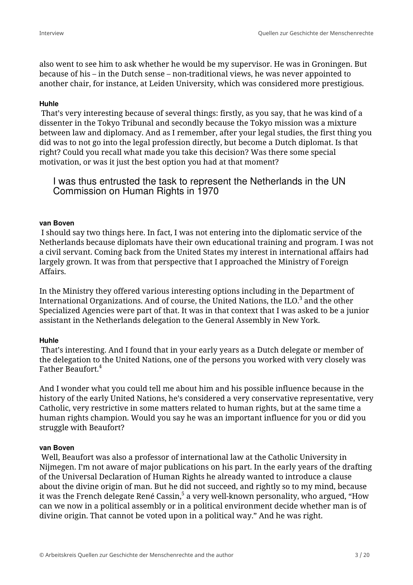also went to see him to ask whether he would be my supervisor. He was in Groningen. But because of his – in the Dutch sense – non-traditional views, he was never appointed to another chair, for instance, at Leiden University, which was considered more prestigious.

#### **Huhle**

 That's very interesting because of several things: firstly, as you say, that he was kind of a dissenter in the Tokyo Tribunal and secondly because the Tokyo mission was a mixture between law and diplomacy. And as I remember, after your legal studies, the first thing you did was to not go into the legal profession directly, but become a Dutch diplomat. Is that right? Could you recall what made you take this decision? Was there some special motivation, or was it just the best option you had at that moment?

I was thus entrusted the task to represent the Netherlands in the UN Commission on Human Rights in 1970

#### **van Boven**

 I should say two things here. In fact, I was not entering into the diplomatic service of the Netherlands because diplomats have their own educational training and program. I was not a civil servant. Coming back from the United States my interest in international affairs had largely grown. It was from that perspective that I approached the Ministry of Foreign Affairs.

In the Ministry they offered various interesting options including in the Department of International Organizations. And of course, the United Nations, the ILO. $^3$  and the other Specialized Agencies were part of that. It was in that context that I was asked to be a junior assistant in the Netherlands delegation to the General Assembly in New York.

## **Huhle**

 That's interesting. And I found that in your early years as a Dutch delegate or member of the delegation to the United Nations, one of the persons you worked with very closely was Father Beaufort.<sup>4</sup>

And I wonder what you could tell me about him and his possible influence because in the history of the early United Nations, he's considered a very conservative representative, very Catholic, very restrictive in some matters related to human rights, but at the same time a human rights champion. Would you say he was an important influence for you or did you struggle with Beaufort?

#### **van Boven**

 Well, Beaufort was also a professor of international law at the Catholic University in Nijmegen. I'm not aware of major publications on his part. In the early years of the drafting of the Universal Declaration of Human Rights he already wanted to introduce a clause about the divine origin of man. But he did not succeed, and rightly so to my mind, because it was the French delegate René Cassin, $^{\mathrm{5}}$  a very well-known personality, who argued, "How can we now in a political assembly or in a political environment decide whether man is of divine origin. That cannot be voted upon in a political way." And he was right.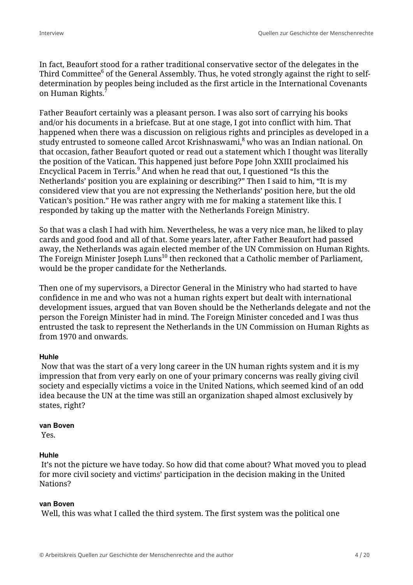In fact, Beaufort stood for a rather traditional conservative sector of the delegates in the Third Committee $^6$  of the General Assembly. Thus, he voted strongly against the right to selfdetermination by peoples being included as the first article in the International Covenants on Human Rights.<sup>7</sup>

Father Beaufort certainly was a pleasant person. I was also sort of carrying his books and/or his documents in a briefcase. But at one stage, I got into conflict with him. That happened when there was a discussion on religious rights and principles as developed in a study entrusted to someone called Arcot Krishnaswami, $^8$  who was an Indian national. On that occasion, father Beaufort quoted or read out a statement which I thought was literally the position of the Vatican. This happened just before Pope John XXIII proclaimed his Encyclical Pacem in Terris. $^9$  And when he read that out, I questioned "Is this the Netherlands' position you are explaining or describing?" Then I said to him, "It is my considered view that you are not expressing the Netherlands' position here, but the old Vatican's position." He was rather angry with me for making a statement like this. I responded by taking up the matter with the Netherlands Foreign Ministry.

So that was a clash I had with him. Nevertheless, he was a very nice man, he liked to play cards and good food and all of that. Some years later, after Father Beaufort had passed away, the Netherlands was again elected member of the UN Commission on Human Rights. The Foreign Minister Joseph  $Luns<sup>10</sup>$  then reckoned that a Catholic member of Parliament, would be the proper candidate for the Netherlands.

Then one of my supervisors, a Director General in the Ministry who had started to have confidence in me and who was not a human rights expert but dealt with international development issues, argued that van Boven should be the Netherlands delegate and not the person the Foreign Minister had in mind. The Foreign Minister conceded and I was thus entrusted the task to represent the Netherlands in the UN Commission on Human Rights as from 1970 and onwards.

## **Huhle**

 Now that was the start of a very long career in the UN human rights system and it is my impression that from very early on one of your primary concerns was really giving civil society and especially victims a voice in the United Nations, which seemed kind of an odd idea because the UN at the time was still an organization shaped almost exclusively by states, right?

#### **van Boven**

Yes.

## **Huhle**

 It's not the picture we have today. So how did that come about? What moved you to plead for more civil society and victims' participation in the decision making in the United Nations?

#### **van Boven**

Well, this was what I called the third system. The first system was the political one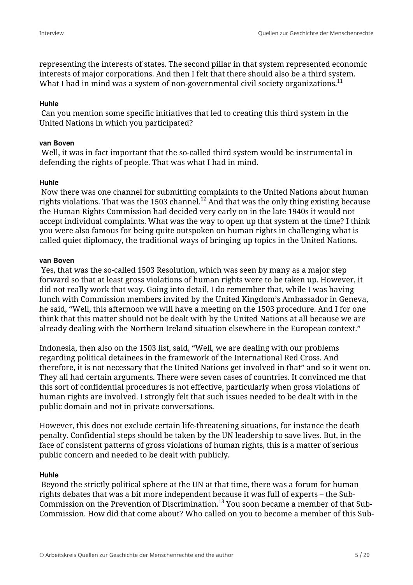representing the interests of states. The second pillar in that system represented economic interests of major corporations. And then I felt that there should also be a third system. What I had in mind was a system of non-governmental civil society organizations.<sup>11</sup>

#### **Huhle**

 Can you mention some specific initiatives that led to creating this third system in the United Nations in which you participated?

#### **van Boven**

 Well, it was in fact important that the so-called third system would be instrumental in defending the rights of people. That was what I had in mind.

## **Huhle**

 Now there was one channel for submitting complaints to the United Nations about human rights violations. That was the 1503 channel.<sup>12</sup> And that was the only thing existing because the Human Rights Commission had decided very early on in the late 1940s it would not accept individual complaints. What was the way to open up that system at the time? I think you were also famous for being quite outspoken on human rights in challenging what is called quiet diplomacy, the traditional ways of bringing up topics in the United Nations.

#### **van Boven**

 Yes, that was the so-called 1503 Resolution, which was seen by many as a major step forward so that at least gross violations of human rights were to be taken up. However, it did not really work that way. Going into detail, I do remember that, while I was having lunch with Commission members invited by the United Kingdom's Ambassador in Geneva, he said, "Well, this afternoon we will have a meeting on the 1503 procedure. And I for one think that this matter should not be dealt with by the United Nations at all because we are already dealing with the Northern Ireland situation elsewhere in the European context."

Indonesia, then also on the 1503 list, said, "Well, we are dealing with our problems regarding political detainees in the framework of the International Red Cross. And therefore, it is not necessary that the United Nations get involved in that" and so it went on. They all had certain arguments. There were seven cases of countries. It convinced me that this sort of confidential procedures is not effective, particularly when gross violations of human rights are involved. I strongly felt that such issues needed to be dealt with in the public domain and not in private conversations.

However, this does not exclude certain life-threatening situations, for instance the death penalty. Confidential steps should be taken by the UN leadership to save lives. But, in the face of consistent patterns of gross violations of human rights, this is a matter of serious public concern and needed to be dealt with publicly.

## **Huhle**

 Beyond the strictly political sphere at the UN at that time, there was a forum for human rights debates that was a bit more independent because it was full of experts – the Sub-Commission on the Prevention of Discrimination.<sup>13</sup> You soon became a member of that Sub-Commission. How did that come about? Who called on you to become a member of this Sub-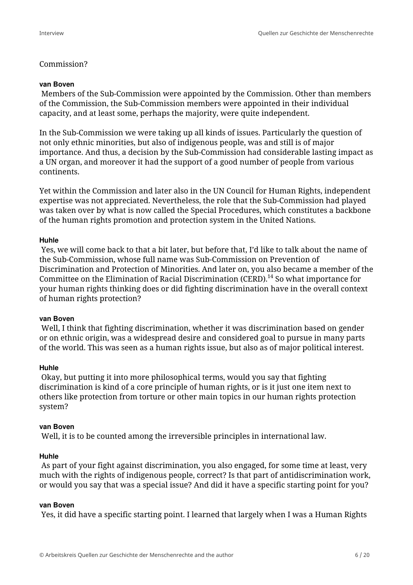## Commission?

#### **van Boven**

 Members of the Sub-Commission were appointed by the Commission. Other than members of the Commission, the Sub-Commission members were appointed in their individual capacity, and at least some, perhaps the majority, were quite independent.

In the Sub-Commission we were taking up all kinds of issues. Particularly the question of not only ethnic minorities, but also of indigenous people, was and still is of major importance. And thus, a decision by the Sub-Commission had considerable lasting impact as a UN organ, and moreover it had the support of a good number of people from various continents.

Yet within the Commission and later also in the UN Council for Human Rights, independent expertise was not appreciated. Nevertheless, the role that the Sub-Commission had played was taken over by what is now called the Special Procedures, which constitutes a backbone of the human rights promotion and protection system in the United Nations.

#### **Huhle**

 Yes, we will come back to that a bit later, but before that, I'd like to talk about the name of the Sub-Commission, whose full name was Sub-Commission on Prevention of Discrimination and Protection of Minorities. And later on, you also became a member of the Committee on the Elimination of Racial Discrimination (CERD).<sup>14</sup> So what importance for your human rights thinking does or did fighting discrimination have in the overall context of human rights protection?

#### **van Boven**

 Well, I think that fighting discrimination, whether it was discrimination based on gender or on ethnic origin, was a widespread desire and considered goal to pursue in many parts of the world. This was seen as a human rights issue, but also as of major political interest.

#### **Huhle**

 Okay, but putting it into more philosophical terms, would you say that fighting discrimination is kind of a core principle of human rights, or is it just one item next to others like protection from torture or other main topics in our human rights protection system?

#### **van Boven**

Well, it is to be counted among the irreversible principles in international law.

#### **Huhle**

 As part of your fight against discrimination, you also engaged, for some time at least, very much with the rights of indigenous people, correct? Is that part of antidiscrimination work, or would you say that was a special issue? And did it have a specific starting point for you?

#### **van Boven**

Yes, it did have a specific starting point. I learned that largely when I was a Human Rights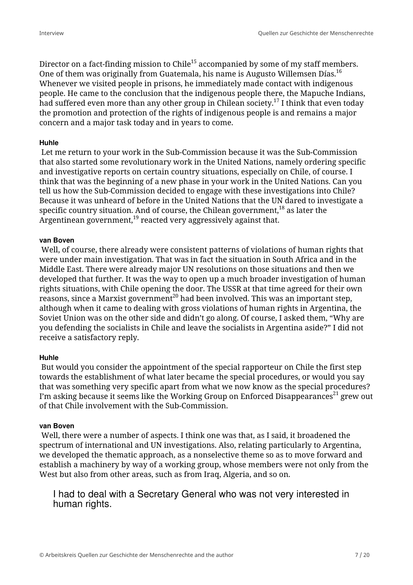Director on a fact-finding mission to Chile<sup>15</sup> accompanied by some of my staff members. One of them was originally from Guatemala, his name is Augusto Willemsen Días.<sup>16</sup> Whenever we visited people in prisons, he immediately made contact with indigenous people. He came to the conclusion that the indigenous people there, the Mapuche Indians, had suffered even more than any other group in Chilean society.<sup>17</sup> I think that even today the promotion and protection of the rights of indigenous people is and remains a major concern and a major task today and in years to come.

#### **Huhle**

 Let me return to your work in the Sub-Commission because it was the Sub-Commission that also started some revolutionary work in the United Nations, namely ordering specific and investigative reports on certain country situations, especially on Chile, of course. I think that was the beginning of a new phase in your work in the United Nations. Can you tell us how the Sub-Commission decided to engage with these investigations into Chile? Because it was unheard of before in the United Nations that the UN dared to investigate a specific country situation. And of course, the Chilean government, $18$  as later the Argentinean government, $19$  reacted very aggressively against that.

#### **van Boven**

 Well, of course, there already were consistent patterns of violations of human rights that were under main investigation. That was in fact the situation in South Africa and in the Middle East. There were already major UN resolutions on those situations and then we developed that further. It was the way to open up a much broader investigation of human rights situations, with Chile opening the door. The USSR at that time agreed for their own reasons, since a Marxist government<sup>20</sup> had been involved. This was an important step, although when it came to dealing with gross violations of human rights in Argentina, the Soviet Union was on the other side and didn't go along. Of course, I asked them, "Why are you defending the socialists in Chile and leave the socialists in Argentina aside?" I did not receive a satisfactory reply.

## **Huhle**

 But would you consider the appointment of the special rapporteur on Chile the first step towards the establishment of what later became the special procedures, or would you say that was something very specific apart from what we now know as the special procedures? I'm asking because it seems like the Working Group on Enforced Disappearances<sup>21</sup> grew out of that Chile involvement with the Sub-Commission.

## **van Boven**

 Well, there were a number of aspects. I think one was that, as I said, it broadened the spectrum of international and UN investigations. Also, relating particularly to Argentina, we developed the thematic approach, as a nonselective theme so as to move forward and establish a machinery by way of a working group, whose members were not only from the West but also from other areas, such as from Iraq, Algeria, and so on.

I had to deal with a Secretary General who was not very interested in human rights.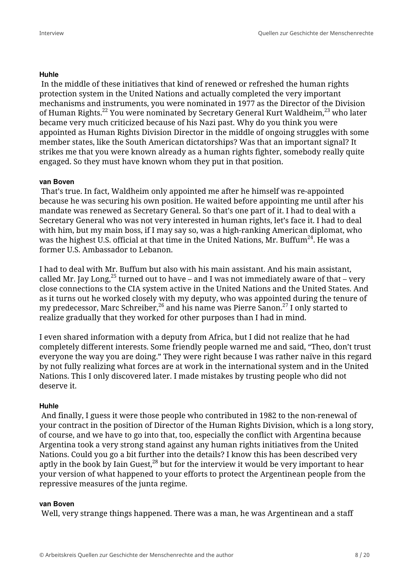## **Huhle**

 In the middle of these initiatives that kind of renewed or refreshed the human rights protection system in the United Nations and actually completed the very important mechanisms and instruments, you were nominated in 1977 as the Director of the Division of Human Rights.<sup>22</sup> You were nominated by Secretary General Kurt Waldheim,<sup>23</sup> who later became very much criticized because of his Nazi past. Why do you think you were appointed as Human Rights Division Director in the middle of ongoing struggles with some member states, like the South American dictatorships? Was that an important signal? It strikes me that you were known already as a human rights fighter, somebody really quite engaged. So they must have known whom they put in that position.

## **van Boven**

 That's true. In fact, Waldheim only appointed me after he himself was re-appointed because he was securing his own position. He waited before appointing me until after his mandate was renewed as Secretary General. So that's one part of it. I had to deal with a Secretary General who was not very interested in human rights, let's face it. I had to deal with him, but my main boss, if I may say so, was a high-ranking American diplomat, who was the highest U.S. official at that time in the United Nations, Mr. Buffum<sup>24</sup>. He was a former U.S. Ambassador to Lebanon.

I had to deal with Mr. Buffum but also with his main assistant. And his main assistant, called Mr. Jay Long,<sup>25</sup> turned out to have – and I was not immediately aware of that – very close connections to the CIA system active in the United Nations and the United States. And as it turns out he worked closely with my deputy, who was appointed during the tenure of my predecessor, Marc Schreiber,<sup>26</sup> and his name was Pierre Sanon.<sup>27</sup> I only started to realize gradually that they worked for other purposes than I had in mind.

I even shared information with a deputy from Africa, but I did not realize that he had completely different interests. Some friendly people warned me and said, "Theo, don't trust everyone the way you are doing." They were right because I was rather naïve in this regard by not fully realizing what forces are at work in the international system and in the United Nations. This I only discovered later. I made mistakes by trusting people who did not deserve it.

#### **Huhle**

 And finally, I guess it were those people who contributed in 1982 to the non-renewal of your contract in the position of Director of the Human Rights Division, which is a long story, of course, and we have to go into that, too, especially the conflict with Argentina because Argentina took a very strong stand against any human rights initiatives from the United Nations. Could you go a bit further into the details? I know this has been described very aptly in the book by Iain Guest,  $^{28}$  but for the interview it would be very important to hear your version of what happened to your efforts to protect the Argentinean people from the repressive measures of the junta regime.

#### **van Boven**

Well, very strange things happened. There was a man, he was Argentinean and a staff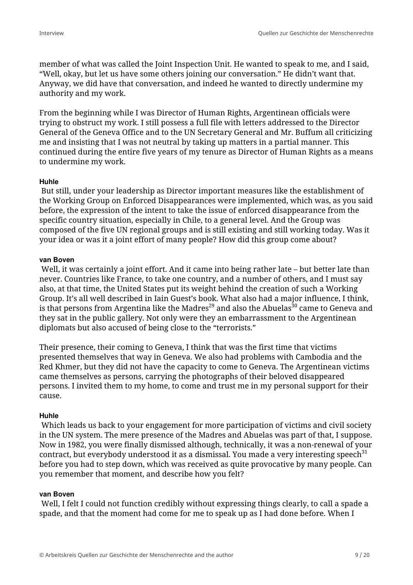member of what was called the Joint Inspection Unit. He wanted to speak to me, and I said, "Well, okay, but let us have some others joining our conversation." He didn't want that. Anyway, we did have that conversation, and indeed he wanted to directly undermine my authority and my work.

From the beginning while I was Director of Human Rights, Argentinean officials were trying to obstruct my work. I still possess a full file with letters addressed to the Director General of the Geneva Office and to the UN Secretary General and Mr. Buffum all criticizing me and insisting that I was not neutral by taking up matters in a partial manner. This continued during the entire five years of my tenure as Director of Human Rights as a means to undermine my work.

## **Huhle**

 But still, under your leadership as Director important measures like the establishment of the Working Group on Enforced Disappearances were implemented, which was, as you said before, the expression of the intent to take the issue of enforced disappearance from the specific country situation, especially in Chile, to a general level. And the Group was composed of the five UN regional groups and is still existing and still working today. Was it your idea or was it a joint effort of many people? How did this group come about?

#### **van Boven**

 Well, it was certainly a joint effort. And it came into being rather late – but better late than never. Countries like France, to take one country, and a number of others, and I must say also, at that time, the United States put its weight behind the creation of such a Working Group. It's all well described in Iain Guest's book. What also had a major influence, I think, is that persons from Argentina like the Madres<sup>29</sup> and also the Abuelas<sup>30</sup> came to Geneva and they sat in the public gallery. Not only were they an embarrassment to the Argentinean diplomats but also accused of being close to the "terrorists."

Their presence, their coming to Geneva, I think that was the first time that victims presented themselves that way in Geneva. We also had problems with Cambodia and the Red Khmer, but they did not have the capacity to come to Geneva. The Argentinean victims came themselves as persons, carrying the photographs of their beloved disappeared persons. I invited them to my home, to come and trust me in my personal support for their cause.

## **Huhle**

 Which leads us back to your engagement for more participation of victims and civil society in the UN system. The mere presence of the Madres and Abuelas was part of that, I suppose. Now in 1982, you were finally dismissed although, technically, it was a non-renewal of your contract, but everybody understood it as a dismissal. You made a very interesting speech $31$ before you had to step down, which was received as quite provocative by many people. Can you remember that moment, and describe how you felt?

## **van Boven**

 Well, I felt I could not function credibly without expressing things clearly, to call a spade a spade, and that the moment had come for me to speak up as I had done before. When I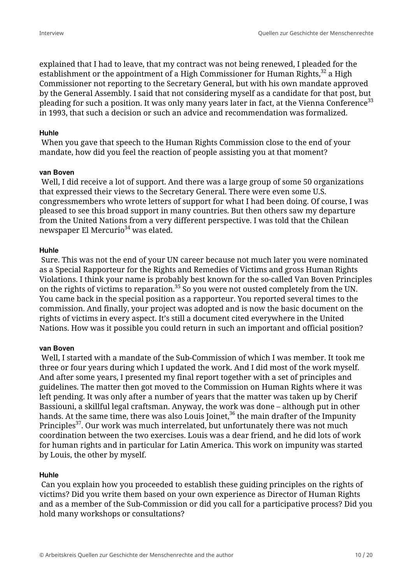explained that I had to leave, that my contract was not being renewed, I pleaded for the establishment or the appointment of a High Commissioner for Human Rights, $32$  a High Commissioner not reporting to the Secretary General, but with his own mandate approved by the General Assembly. I said that not considering myself as a candidate for that post, but pleading for such a position. It was only many years later in fact, at the Vienna Conference<sup>33</sup> in 1993, that such a decision or such an advice and recommendation was formalized.

#### **Huhle**

 When you gave that speech to the Human Rights Commission close to the end of your mandate, how did you feel the reaction of people assisting you at that moment?

#### **van Boven**

 Well, I did receive a lot of support. And there was a large group of some 50 organizations that expressed their views to the Secretary General. There were even some U.S. congressmembers who wrote letters of support for what I had been doing. Of course, I was pleased to see this broad support in many countries. But then others saw my departure from the United Nations from a very different perspective. I was told that the Chilean newspaper El Mercurio $34$  was elated.

## **Huhle**

 Sure. This was not the end of your UN career because not much later you were nominated as a Special Rapporteur for the Rights and Remedies of Victims and gross Human Rights Violations. I think your name is probably best known for the so-called Van Boven Principles on the rights of victims to reparation.<sup>35</sup> So you were not ousted completely from the UN. You came back in the special position as a rapporteur. You reported several times to the commission. And finally, your project was adopted and is now the basic document on the rights of victims in every aspect. It's still a document cited everywhere in the United Nations. How was it possible you could return in such an important and official position?

## **van Boven**

 Well, I started with a mandate of the Sub-Commission of which I was member. It took me three or four years during which I updated the work. And I did most of the work myself. And after some years, I presented my final report together with a set of principles and guidelines. The matter then got moved to the Commission on Human Rights where it was left pending. It was only after a number of years that the matter was taken up by Cherif Bassiouni, a skillful legal craftsman. Anyway, the work was done – although put in other hands. At the same time, there was also Louis Joinet, $36$  the main drafter of the Impunity Principles<sup>37</sup>. Our work was much interrelated, but unfortunately there was not much coordination between the two exercises. Louis was a dear friend, and he did lots of work for human rights and in particular for Latin America. This work on impunity was started by Louis, the other by myself.

## **Huhle**

 Can you explain how you proceeded to establish these guiding principles on the rights of victims? Did you write them based on your own experience as Director of Human Rights and as a member of the Sub-Commission or did you call for a participative process? Did you hold many workshops or consultations?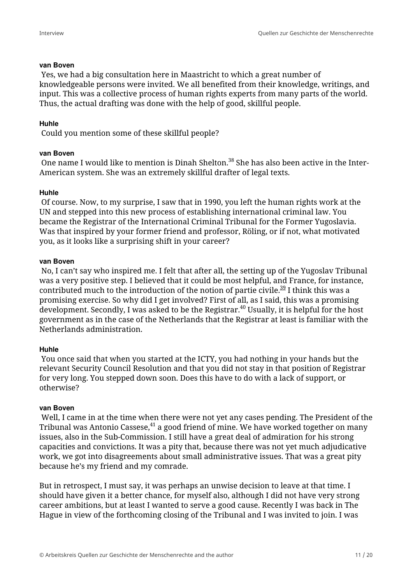#### **van Boven**

 Yes, we had a big consultation here in Maastricht to which a great number of knowledgeable persons were invited. We all benefited from their knowledge, writings, and input. This was a collective process of human rights experts from many parts of the world. Thus, the actual drafting was done with the help of good, skillful people.

#### **Huhle**

Could you mention some of these skillful people?

#### **van Boven**

One name I would like to mention is Dinah Shelton.<sup>38</sup> She has also been active in the Inter-American system. She was an extremely skillful drafter of legal texts.

#### **Huhle**

 Of course. Now, to my surprise, I saw that in 1990, you left the human rights work at the UN and stepped into this new process of establishing international criminal law. You became the Registrar of the International Criminal Tribunal for the Former Yugoslavia. Was that inspired by your former friend and professor, Röling, or if not, what motivated you, as it looks like a surprising shift in your career?

#### **van Boven**

 No, I can't say who inspired me. I felt that after all, the setting up of the Yugoslav Tribunal was a very positive step. I believed that it could be most helpful, and France, for instance, contributed much to the introduction of the notion of partie civile.<sup>39</sup> I think this was a promising exercise. So why did I get involved? First of all, as I said, this was a promising development. Secondly, I was asked to be the Registrar.<sup>40</sup> Usually, it is helpful for the host government as in the case of the Netherlands that the Registrar at least is familiar with the Netherlands administration.

#### **Huhle**

 You once said that when you started at the ICTY, you had nothing in your hands but the relevant Security Council Resolution and that you did not stay in that position of Registrar for very long. You stepped down soon. Does this have to do with a lack of support, or otherwise?

#### **van Boven**

 Well, I came in at the time when there were not yet any cases pending. The President of the Tribunal was Antonio Cassese, $41$  a good friend of mine. We have worked together on many issues, also in the Sub-Commission. I still have a great deal of admiration for his strong capacities and convictions. It was a pity that, because there was not yet much adjudicative work, we got into disagreements about small administrative issues. That was a great pity because he's my friend and my comrade.

But in retrospect, I must say, it was perhaps an unwise decision to leave at that time. I should have given it a better chance, for myself also, although I did not have very strong career ambitions, but at least I wanted to serve a good cause. Recently I was back in The Hague in view of the forthcoming closing of the Tribunal and I was invited to join. I was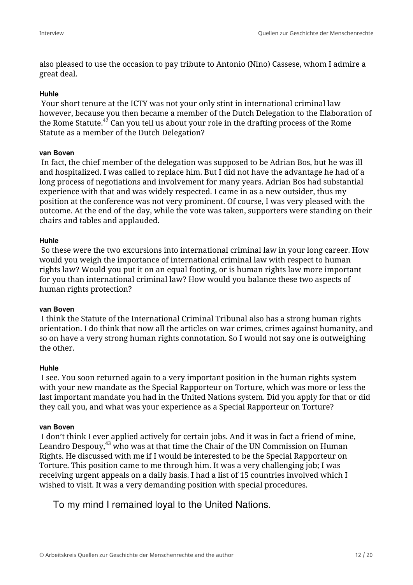also pleased to use the occasion to pay tribute to Antonio (Nino) Cassese, whom I admire a great deal.

#### **Huhle**

 Your short tenure at the ICTY was not your only stint in international criminal law however, because you then became a member of the Dutch Delegation to the Elaboration of the Rome Statute. $42^2$  Can you tell us about your role in the drafting process of the Rome Statute as a member of the Dutch Delegation?

#### **van Boven**

 In fact, the chief member of the delegation was supposed to be Adrian Bos, but he was ill and hospitalized. I was called to replace him. But I did not have the advantage he had of a long process of negotiations and involvement for many years. Adrian Bos had substantial experience with that and was widely respected. I came in as a new outsider, thus my position at the conference was not very prominent. Of course, I was very pleased with the outcome. At the end of the day, while the vote was taken, supporters were standing on their chairs and tables and applauded.

## **Huhle**

 So these were the two excursions into international criminal law in your long career. How would you weigh the importance of international criminal law with respect to human rights law? Would you put it on an equal footing, or is human rights law more important for you than international criminal law? How would you balance these two aspects of human rights protection?

#### **van Boven**

 I think the Statute of the International Criminal Tribunal also has a strong human rights orientation. I do think that now all the articles on war crimes, crimes against humanity, and so on have a very strong human rights connotation. So I would not say one is outweighing the other.

#### **Huhle**

 I see. You soon returned again to a very important position in the human rights system with your new mandate as the Special Rapporteur on Torture, which was more or less the last important mandate you had in the United Nations system. Did you apply for that or did they call you, and what was your experience as a Special Rapporteur on Torture?

#### **van Boven**

 I don't think I ever applied actively for certain jobs. And it was in fact a friend of mine, Leandro Despouy, $^{43}$  who was at that time the Chair of the UN Commission on Human Rights. He discussed with me if I would be interested to be the Special Rapporteur on Torture. This position came to me through him. It was a very challenging job; I was receiving urgent appeals on a daily basis. I had a list of 15 countries involved which I wished to visit. It was a very demanding position with special procedures.

To my mind I remained loyal to the United Nations.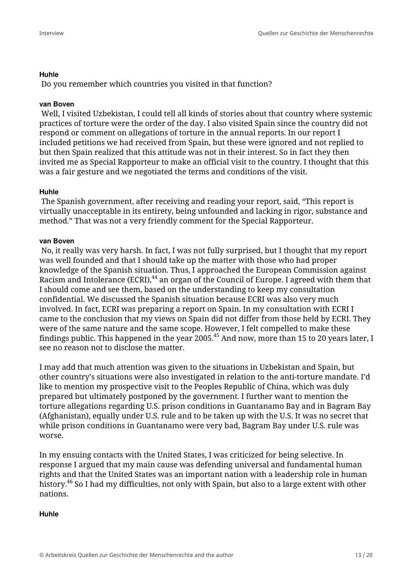#### **Huhle**

Do you remember which countries you visited in that function?

## **van Boven**

 Well, I visited Uzbekistan, I could tell all kinds of stories about that country where systemic practices of torture were the order of the day. I also visited Spain since the country did not respond or comment on allegations of torture in the annual reports. In our report I included petitions we had received from Spain, but these were ignored and not replied to but then Spain realized that this attitude was not in their interest. So in fact they then invited me as Special Rapporteur to make an official visit to the country. I thought that this was a fair gesture and we negotiated the terms and conditions of the visit.

## **Huhle**

 The Spanish government, after receiving and reading your report, said, "This report is virtually unacceptable in its entirety, being unfounded and lacking in rigor, substance and method." That was not a very friendly comment for the Special Rapporteur.

## **van Boven**

 No, it really was very harsh. In fact, I was not fully surprised, but I thought that my report was well founded and that I should take up the matter with those who had proper knowledge of the Spanish situation. Thus, I approached the European Commission against Racism and Intolerance (ECRI),<sup>44</sup> an organ of the Council of Europe. I agreed with them that I should come and see them, based on the understanding to keep my consultation confidential. We discussed the Spanish situation because ECRI was also very much involved. In fact, ECRI was preparing a report on Spain. In my consultation with ECRI I came to the conclusion that my views on Spain did not differ from those held by ECRI. They were of the same nature and the same scope. However, I felt compelled to make these findings public. This happened in the year 2005.<sup>45</sup> And now, more than 15 to 20 years later, I see no reason not to disclose the matter.

I may add that much attention was given to the situations in Uzbekistan and Spain, but other country's situations were also investigated in relation to the anti-torture mandate. I'd like to mention my prospective visit to the Peoples Republic of China, which was duly prepared but ultimately postponed by the government. I further want to mention the torture allegations regarding U.S. prison conditions in Guantanamo Bay and in Bagram Bay (Afghanistan), equally under U.S. rule and to be taken up with the U.S. It was no secret that while prison conditions in Guantanamo were very bad, Bagram Bay under U.S. rule was worse.

In my ensuing contacts with the United States, I was criticized for being selective. In response I argued that my main cause was defending universal and fundamental human rights and that the United States was an important nation with a leadership role in human history.<sup>46</sup> So I had my difficulties, not only with Spain, but also to a large extent with other nations.

#### **Huhle**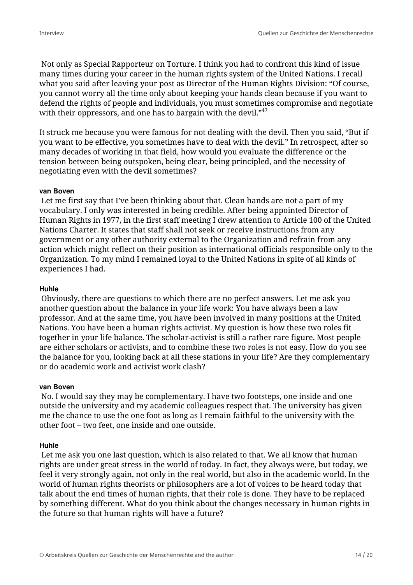Not only as Special Rapporteur on Torture. I think you had to confront this kind of issue many times during your career in the human rights system of the United Nations. I recall what you said after leaving your post as Director of the Human Rights Division: "Of course, you cannot worry all the time only about keeping your hands clean because if you want to defend the rights of people and individuals, you must sometimes compromise and negotiate with their oppressors, and one has to bargain with the devil."<sup>47</sup>

It struck me because you were famous for not dealing with the devil. Then you said, "But if you want to be effective, you sometimes have to deal with the devil." In retrospect, after so many decades of working in that field, how would you evaluate the difference or the tension between being outspoken, being clear, being principled, and the necessity of negotiating even with the devil sometimes?

#### **van Boven**

 Let me first say that I've been thinking about that. Clean hands are not a part of my vocabulary. I only was interested in being credible. After being appointed Director of Human Rights in 1977, in the first staff meeting I drew attention to Article 100 of the United Nations Charter. It states that staff shall not seek or receive instructions from any government or any other authority external to the Organization and refrain from any action which might reflect on their position as international officials responsible only to the Organization. To my mind I remained loyal to the United Nations in spite of all kinds of experiences I had.

#### **Huhle**

 Obviously, there are questions to which there are no perfect answers. Let me ask you another question about the balance in your life work: You have always been a law professor. And at the same time, you have been involved in many positions at the United Nations. You have been a human rights activist. My question is how these two roles fit together in your life balance. The scholar-activist is still a rather rare figure. Most people are either scholars or activists, and to combine these two roles is not easy. How do you see the balance for you, looking back at all these stations in your life? Are they complementary or do academic work and activist work clash?

#### **van Boven**

 No. I would say they may be complementary. I have two footsteps, one inside and one outside the university and my academic colleagues respect that. The university has given me the chance to use the one foot as long as I remain faithful to the university with the other foot – two feet, one inside and one outside.

#### **Huhle**

 Let me ask you one last question, which is also related to that. We all know that human rights are under great stress in the world of today. In fact, they always were, but today, we feel it very strongly again, not only in the real world, but also in the academic world. In the world of human rights theorists or philosophers are a lot of voices to be heard today that talk about the end times of human rights, that their role is done. They have to be replaced by something different. What do you think about the changes necessary in human rights in the future so that human rights will have a future?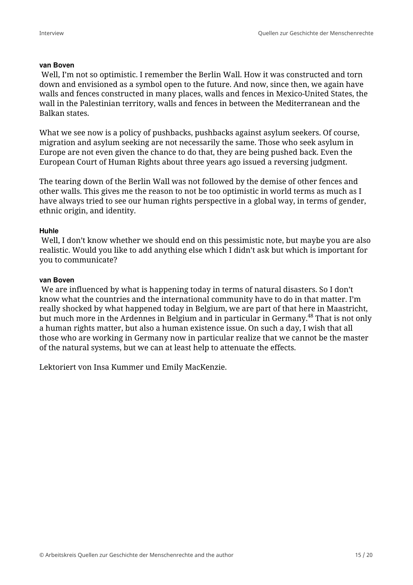#### **van Boven**

 Well, I'm not so optimistic. I remember the Berlin Wall. How it was constructed and torn down and envisioned as a symbol open to the future. And now, since then, we again have walls and fences constructed in many places, walls and fences in Mexico-United States, the wall in the Palestinian territory, walls and fences in between the Mediterranean and the Balkan states.

What we see now is a policy of pushbacks, pushbacks against asylum seekers. Of course, migration and asylum seeking are not necessarily the same. Those who seek asylum in Europe are not even given the chance to do that, they are being pushed back. Even the European Court of Human Rights about three years ago issued a reversing judgment.

The tearing down of the Berlin Wall was not followed by the demise of other fences and other walls. This gives me the reason to not be too optimistic in world terms as much as I have always tried to see our human rights perspective in a global way, in terms of gender, ethnic origin, and identity.

## **Huhle**

 Well, I don't know whether we should end on this pessimistic note, but maybe you are also realistic. Would you like to add anything else which I didn't ask but which is important for you to communicate?

#### **van Boven**

 We are influenced by what is happening today in terms of natural disasters. So I don't know what the countries and the international community have to do in that matter. I'm really shocked by what happened today in Belgium, we are part of that here in Maastricht, but much more in the Ardennes in Belgium and in particular in Germany.<sup>48</sup> That is not only a human rights matter, but also a human existence issue. On such a day, I wish that all those who are working in Germany now in particular realize that we cannot be the master of the natural systems, but we can at least help to attenuate the effects.

Lektoriert von Insa Kummer und Emily MacKenzie.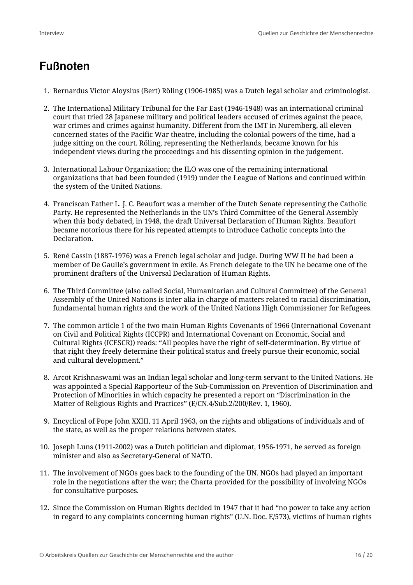# **Fußnoten**

- 1. Bernardus Victor Aloysius (Bert) Röling (1906-1985) was a Dutch legal scholar and criminologist.
- 2. The International Military Tribunal for the Far East (1946-1948) was an international criminal court that tried 28 Japanese military and political leaders accused of crimes against the peace, war crimes and crimes against humanity. Different from the IMT in Nuremberg, all eleven concerned states of the Pacific War theatre, including the colonial powers of the time, had a judge sitting on the court. Röling, representing the Netherlands, became known for his independent views during the proceedings and his dissenting opinion in the judgement.
- 3. International Labour Organization; the ILO was one of the remaining international organizations that had been founded (1919) under the League of Nations and continued within the system of the United Nations.
- 4. Franciscan Father L. J. C. Beaufort was a member of the Dutch Senate representing the Catholic Party. He represented the Netherlands in the UN's Third Committee of the General Assembly when this body debated, in 1948, the draft Universal Declaration of Human Rights. Beaufort became notorious there for his repeated attempts to introduce Catholic concepts into the Declaration.
- 5. René Cassin (1887-1976) was a French legal scholar and judge. During WW II he had been a member of De Gaulle's government in exile. As French delegate to the UN he became one of the prominent drafters of the Universal Declaration of Human Rights.
- 6. The Third Committee (also called Social, Humanitarian and Cultural Committee) of the General Assembly of the United Nations is inter alia in charge of matters related to racial discrimination, fundamental human rights and the work of the United Nations High Commissioner for Refugees.
- 7. The common article 1 of the two main Human Rights Covenants of 1966 (International Covenant on Civil and Political Rights (ICCPR) and International Covenant on Economic, Social and Cultural Rights (ICESCR)) reads: "All peoples have the right of self-determination. By virtue of that right they freely determine their political status and freely pursue their economic, social and cultural development."
- 8. Arcot Krishnaswami was an Indian legal scholar and long-term servant to the United Nations. He was appointed a Special Rapporteur of the Sub-Commission on Prevention of Discrimination and Protection of Minorities in which capacity he presented a report on "Discrimination in the Matter of Religious Rights and Practices" (E/CN.4/Sub.2/200/Rev. 1, 1960).
- 9. Encyclical of Pope John XXIII, 11 April 1963, on the rights and obligations of individuals and of the state, as well as the proper relations between states.
- 10. Joseph Luns (1911-2002) was a Dutch politician and diplomat, 1956-1971, he served as foreign minister and also as Secretary-General of NATO.
- 11. The involvement of NGOs goes back to the founding of the UN. NGOs had played an important role in the negotiations after the war; the Charta provided for the possibility of involving NGOs for consultative purposes.
- 12. Since the Commission on Human Rights decided in 1947 that it had "no power to take any action in regard to any complaints concerning human rights" (U.N. Doc. E/573), victims of human rights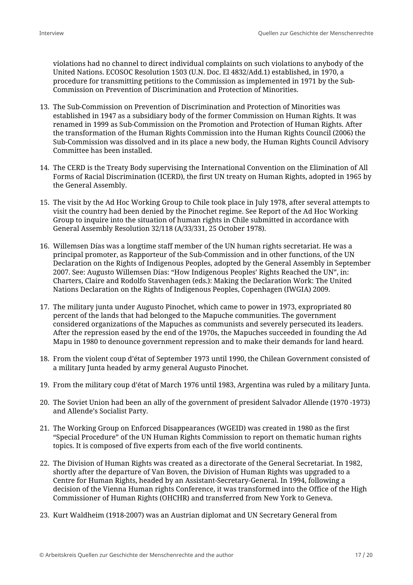violations had no channel to direct individual complaints on such violations to anybody of the United Nations. ECOSOC Resolution 1503 (U.N. Doc. El 4832/Add.1) established, in 1970, a procedure for transmitting petitions to the Commission as implemented in 1971 by the Sub-Commission on Prevention of Discrimination and Protection of Minorities.

- 13. The Sub-Commission on Prevention of Discrimination and Protection of Minorities was established in 1947 as a subsidiary body of the former Commission on Human Rights. It was renamed in 1999 as Sub-Commission on the Promotion and Protection of Human Rights. After the transformation of the Human Rights Commission into the Human Rights Council (2006) the Sub-Commission was dissolved and in its place a new body, the Human Rights Council Advisory Committee has been installed.
- 14. The CERD is the Treaty Body supervising the International Convention on the Elimination of All Forms of Racial Discrimination (ICERD), the first UN treaty on Human Rights, adopted in 1965 by the General Assembly.
- 15. The visit by the Ad Hoc Working Group to Chile took place in July 1978, after several attempts to visit the country had been denied by the Pinochet regime. See Report of the Ad Hoc Working Group to inquire into the situation of human rights in Chile submitted in accordance with General Assembly Resolution 32/118 (A/33/331, 25 October 1978).
- 16. Willemsen Días was a longtime staff member of the UN human rights secretariat. He was a principal promoter, as Rapporteur of the Sub-Commission and in other functions, of the UN Declaration on the Rights of Indigenous Peoples, adopted by the General Assembly in September 2007. See: Augusto Willemsen Días: "How Indigenous Peoples' Rights Reached the UN", in: Charters, Claire and Rodolfo Stavenhagen (eds.): Making the Declaration Work: The United Nations Declaration on the Rights of Indigenous Peoples, Copenhagen (IWGIA) 2009.
- 17. The military junta under Augusto Pinochet, which came to power in 1973, expropriated 80 percent of the lands that had belonged to the Mapuche communities. The government considered organizations of the Mapuches as communists and severely persecuted its leaders. After the repression eased by the end of the 1970s, the Mapuches succeeded in founding the Ad Mapu in 1980 to denounce government repression and to make their demands for land heard.
- 18. From the violent coup d'état of September 1973 until 1990, the Chilean Government consisted of a military Junta headed by army general Augusto Pinochet.
- 19. From the military coup d'état of March 1976 until 1983, Argentina was ruled by a military Junta.
- 20. The Soviet Union had been an ally of the government of president Salvador Allende (1970 -1973) and Allende's Socialist Party.
- 21. The Working Group on Enforced Disappearances (WGEID) was created in 1980 as the first "Special Procedure" of the UN Human Rights Commission to report on thematic human rights topics. It is composed of five experts from each of the five world continents.
- 22. The Division of Human Rights was created as a directorate of the General Secretariat. In 1982, shortly after the departure of Van Boven, the Division of Human Rights was upgraded to a Centre for Human Rights, headed by an Assistant-Secretary-General. In 1994, following a decision of the Vienna Human rights Conference, it was transformed into the Office of the High Commissioner of Human Rights (OHCHR) and transferred from New York to Geneva.
- 23. Kurt Waldheim (1918-2007) was an Austrian diplomat and UN Secretary General from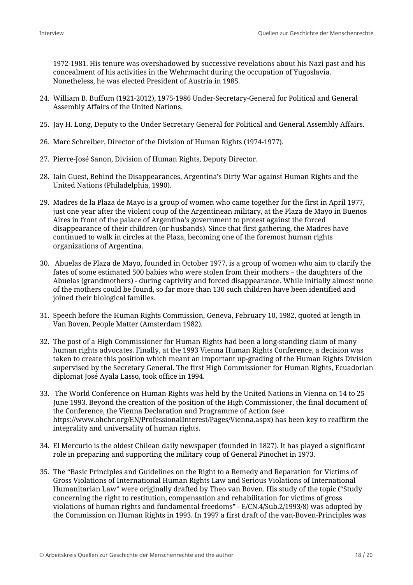1972-1981. His tenure was overshadowed by successive revelations about his Nazi past and his concealment of his activities in the Wehrmacht during the occupation of Yugoslavia. Nonetheless, he was elected President of Austria in 1985.

- 24. William B. Buffum (1921-2012), 1975-1986 Under-Secretary-General for Political and General Assembly Affairs of the United Nations.
- 25. Jay H. Long, Deputy to the Under Secretary General for Political and General Assembly Affairs.
- 26. Marc Schreiber, Director of the Division of Human Rights (1974-1977).
- 27. Pierre-José Sanon, Division of Human Rights, Deputy Director.
- 28. Iain Guest, Behind the Disappearances, Argentina's Dirty War against Human Rights and the United Nations (Philadelphia, 1990).
- 29. Madres de la Plaza de Mayo is a group of women who came together for the first in April 1977, just one year after the violent coup of the Argentinean military, at the Plaza de Mayo in Buenos Aires in front of the palace of Argentina's government to protest against the forced disappearance of their children (or husbands). Since that first gathering, the Madres have continued to walk in circles at the Plaza, becoming one of the foremost human rights organizations of Argentina.
- 30. Abuelas de Plaza de Mayo, founded in October 1977, is a group of women who aim to clarify the fates of some estimated 500 babies who were stolen from their mothers – the daughters of the Abuelas (grandmothers) - during captivity and forced disappearance. While initially almost none of the mothers could be found, so far more than 130 such children have been identified and joined their biological families.
- 31. Speech before the Human Rights Commission, Geneva, February 10, 1982, quoted at length in Van Boven, People Matter (Amsterdam 1982).
- 32. The post of a High Commissioner for Human Rights had been a long-standing claim of many human rights advocates. Finally, at the 1993 Vienna Human Rights Conference, a decision was taken to create this position which meant an important up-grading of the Human Rights Division supervised by the Secretary General. The first High Commissioner for Human Rights, Ecuadorian diplomat José Ayala Lasso, took office in 1994.
- 33. The World Conference on Human Rights was held by the United Nations in Vienna on 14 to 25 June 1993. Beyond the creation of the position of the High Commissioner, the final document of the Conference, the Vienna Declaration and Programme of Action (see https://www.ohchr.org/EN/ProfessionalInterest/Pages/Vienna.aspx) has been key to reaffirm the integrality and universality of human rights.
- 34. El Mercurio is the oldest Chilean daily newspaper (founded in 1827). It has played a significant role in preparing and supporting the military coup of General Pinochet in 1973.
- 35. The "Basic Principles and Guidelines on the Right to a Remedy and Reparation for Victims of Gross Violations of International Human Rights Law and Serious Violations of International Humanitarian Law" were originally drafted by Theo van Boven. His study of the topic ("Study concerning the right to restitution, compensation and rehabilitation for victims of gross violations of human rights and fundamental freedoms" - E/CN.4/Sub.2/1993/8) was adopted by the Commission on Human Rights in 1993. In 1997 a first draft of the van-Boven-Principles was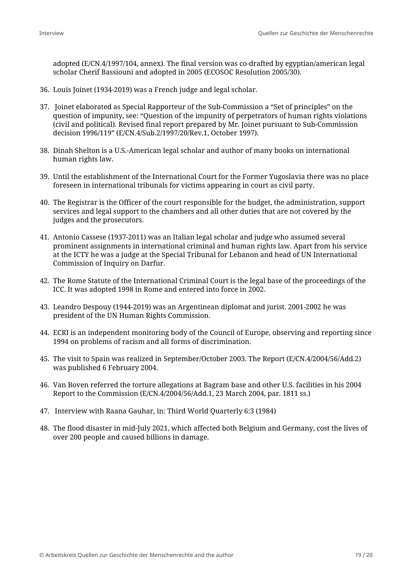adopted (E/CN.4/1997/104, annex). The final version was co-drafted by egyptian/american legal scholar Cherif Bassiouni and adopted in 2005 (ECOSOC Resolution 2005/30).

- 36. Louis Joinet (1934-2019) was a French judge and legal scholar.
- 37. Joinet elaborated as Special Rapporteur of the Sub-Commission a "Set of principles" on the question of impunity, see: "Question of the impunity of perpetrators of human rights violations (civil and political). Revised final report prepared by Mr. Joinet pursuant to Sub-Commission decision 1996/119" (E/CN.4/Sub.2/1997/20/Rev.1, October 1997).
- 38. Dinah Shelton is a U.S.-American legal scholar and author of many books on international human rights law.
- 39. Until the establishment of the International Court for the Former Yugoslavia there was no place foreseen in international tribunals for victims appearing in court as civil party.
- 40. The Registrar is the Officer of the court responsible for the budget, the administration, support services and legal support to the chambers and all other duties that are not covered by the judges and the prosecutors.
- 41. Antonio Cassese (1937-2011) was an Italian legal scholar and judge who assumed several prominent assignments in international criminal and human rights law. Apart from his service at the ICTY he was a judge at the Special Tribunal for Lebanon and head of UN International Commission of Inquiry on Darfur.
- 42. The Rome Statute of the International Criminal Court is the legal base of the proceedings of the ICC. It was adopted 1998 in Rome and entered into force in 2002.
- 43. Leandro Despouy (1944-2019) was an Argentinean diplomat and jurist. 2001-2002 he was president of the UN Human Rights Commission.
- 44. ECRI is an independent monitoring body of the Council of Europe, observing and reporting since 1994 on problems of racism and all forms of discrimination.
- 45. The visit to Spain was realized in September/October 2003. The Report (E/CN.4/2004/56/Add.2) was published 6 February 2004.
- 46. Van Boven referred the torture allegations at Bagram base and other U.S. facilities in his 2004 Report to the Commission (E/CN.4/2004/56/Add.1, 23 March 2004, par. 1811 ss.)
- 47. Interview with Raana Gauhar, in: Third World Quarterly 6:3 (1984)
- 48. The flood disaster in mid-July 2021, which affected both Belgium and Germany, cost the lives of over 200 people and caused billions in damage.